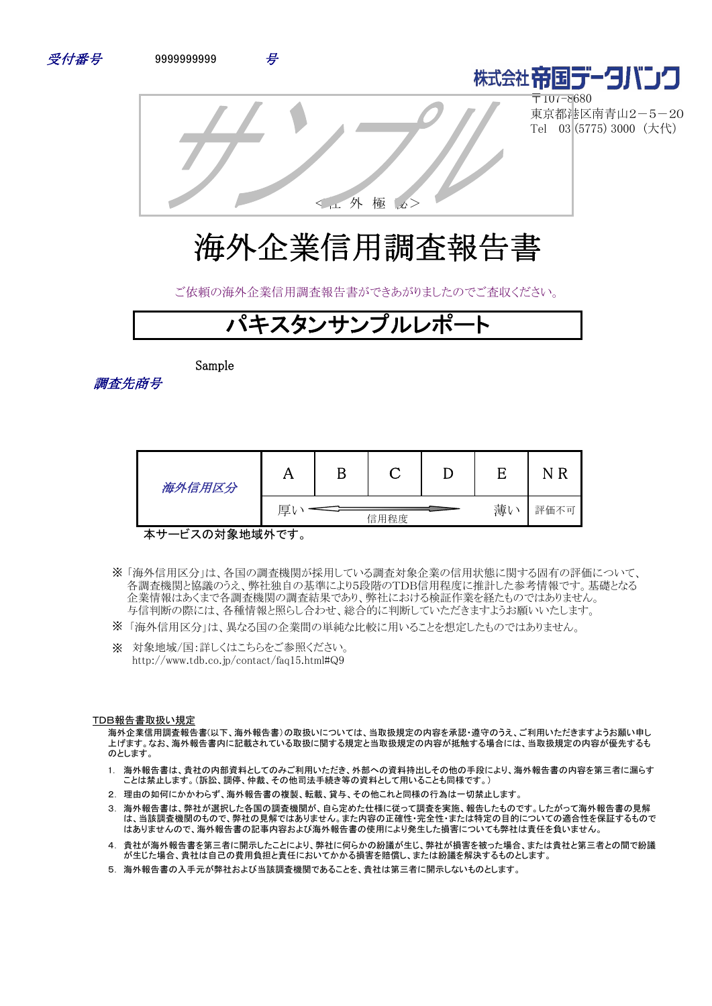



〒107-8680 東京都港区南青山2-5-20 Tel 03 (5775) 3000 (大代)

<社 外 極 秘>

# 海外企業信用調査報告書

ご依頼の海外企業信用調査報告書ができあがりましたのでご査収ください。

# パキスタンサンプルレポ

Sample

調査先商号

| 海外信用区分 |   |      |   |      |
|--------|---|------|---|------|
|        | 厚 | 信用程度 | 薄 | 評価不可 |

本サービスの対象地域外です。

- 「海外信用区分」は、各国の調査機関が採用している調査対象企業の信用状態に関する固有の評価について、 ※ 各調査機関と協議のうえ、弊社独自の基準により5段階のTDB信用程度に推計した参考情報です。基礎となる 企業情報はあくまで各調査機関の調査結果であり、弊社における検証作業を経たものではありません。 与信判断の際には、各種情報と照らし合わせ、総合的に判断していただきますようお願いいたします。
- ※ 「海外信用区分」は、異なる国の企業間の単純な比較に用いることを想定したものではありません。
- ※ 対象地域/国:詳しくはこちらをご参照ください。 http://www.tdb.co.jp/contact/faq15.html#Q9

#### TDB報告書取扱い規定

海外企業信用調査報告書(以下、海外報告書)の取扱いについては、当取扱規定の内容を承認・遵守のうえ、ご利用いただきますようお願い申し 上げます。なお、海外報告書内に記載されている取扱に関する規定と当取扱規定の内容が抵触する場合には、当取扱規定の内容が優先するも のとします。

- 1. 海外報告書は、貴社の内部資料としてのみご利用いただき、外部への資料持出しその他の手段により、海外報告書の内容を第三者に漏らす ことは禁止します。(訴訟、調停、仲裁、その他司法手続き等の資料として用いることも同様です。)
- 2. 理由の如何にかかわらず、海外報告書の複製、転載、貸与、その他これと同様の行為は一切禁止します。
- 3. 海外報告書は、弊社が選択した各国の調査機関が、自ら定めた仕様に従って調査を実施、報告したものです。したがって海外報告書の見解 は、当該調査機関のもので、弊社の見解ではありません。また内容の正確性・完全性・または特定の目的についての適合性を保証するもので はありませんので、海外報告書の記事内容および海外報告書の使用により発生した損害についても弊社は責任を負いません。
- 4. 貴社が海外報告書を第三者に開示したことにより、弊社に何らかの紛議が生じ、弊社が損害を被った場合、または貴社と第三者との間で紛議 が生じた場合、貴社は自己の費用負担と責任においてかかる損害を賠償し、または紛議を解決するものとします。
- 5. 海外報告書の入手元が弊社および当該調査機関であることを、貴社は第三者に開示しないものとします。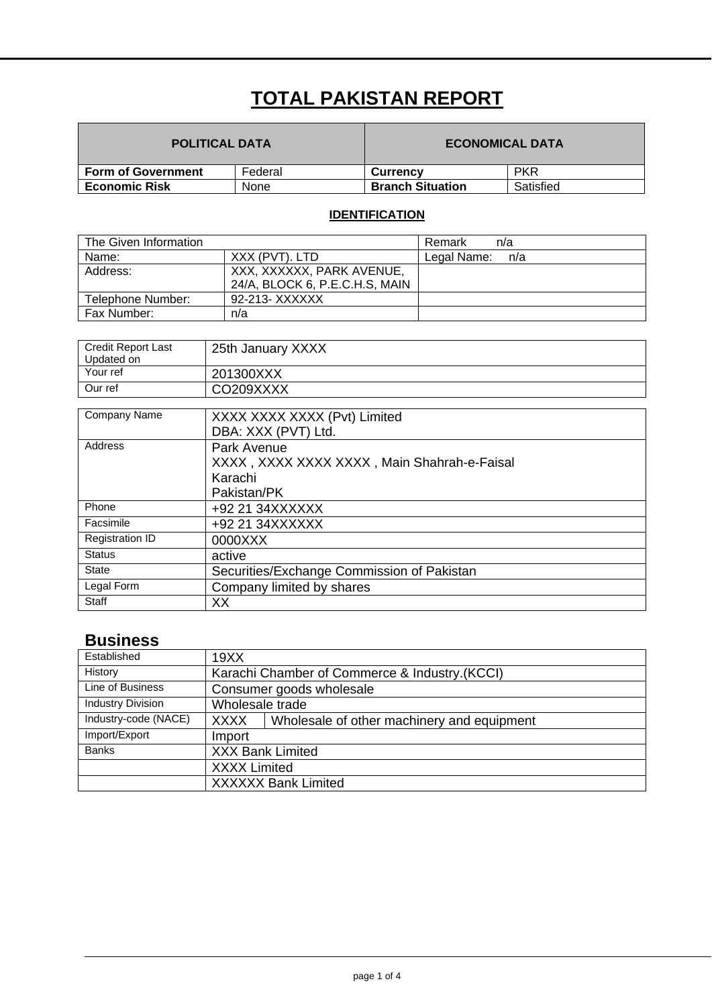## **TOTAL PAKISTAN REPORT**

| <b>POLITICAL DATA</b>     |         | <b>ECONOMICAL DATA</b>  |            |  |
|---------------------------|---------|-------------------------|------------|--|
| <b>Form of Government</b> | Federal | <b>Currency</b>         | <b>PKR</b> |  |
| <b>Economic Risk</b>      | None    | <b>Branch Situation</b> | Satisfied  |  |

#### **IDENTIFICATION**

| The Given Information |                                | Remark<br>n/a      |
|-----------------------|--------------------------------|--------------------|
| Name:                 | XXX (PVT). LTD                 | Legal Name:<br>n/a |
| Address:              | XXX, XXXXXX, PARK AVENUE,      |                    |
|                       | 24/A, BLOCK 6, P.E.C.H.S, MAIN |                    |
| Telephone Number:     | 92-213- XXXXXX                 |                    |
| Fax Number:           | n/a                            |                    |

| <b>Credit Report Last</b><br>Updated on | 25th January XXXX |
|-----------------------------------------|-------------------|
| Your ref                                | 201300XXX         |
| Our ref                                 | CO209XXXX         |

| Company Name           | XXXX XXXX XXXX (Pvt) Limited<br>DBA: XXX (PVT) Ltd.                                  |
|------------------------|--------------------------------------------------------------------------------------|
| Address                | Park Avenue<br>XXXX, XXXX XXXX XXXX, Main Shahrah-e-Faisal<br>Karachi<br>Pakistan/PK |
| Phone                  | +92 21 34XXXXXX                                                                      |
| Facsimile              | +92 21 34XXXXXX                                                                      |
| <b>Registration ID</b> | 0000XXX                                                                              |
| <b>Status</b>          | active                                                                               |
| <b>State</b>           | Securities/Exchange Commission of Pakistan                                           |
| Legal Form             | Company limited by shares                                                            |
| <b>Staff</b>           | XХ                                                                                   |

### **Business**

| Established              | 19XX                    |                                                |  |
|--------------------------|-------------------------|------------------------------------------------|--|
| History                  |                         | Karachi Chamber of Commerce & Industry. (KCCI) |  |
| Line of Business         |                         | Consumer goods wholesale                       |  |
| <b>Industry Division</b> | Wholesale trade         |                                                |  |
| Industry-code (NACE)     | <b>XXXX</b>             | Wholesale of other machinery and equipment     |  |
| Import/Export            | Import                  |                                                |  |
| <b>Banks</b>             | <b>XXX Bank Limited</b> |                                                |  |
|                          | <b>XXXX Limited</b>     |                                                |  |
|                          |                         | <b>XXXXXX</b> Bank Limited                     |  |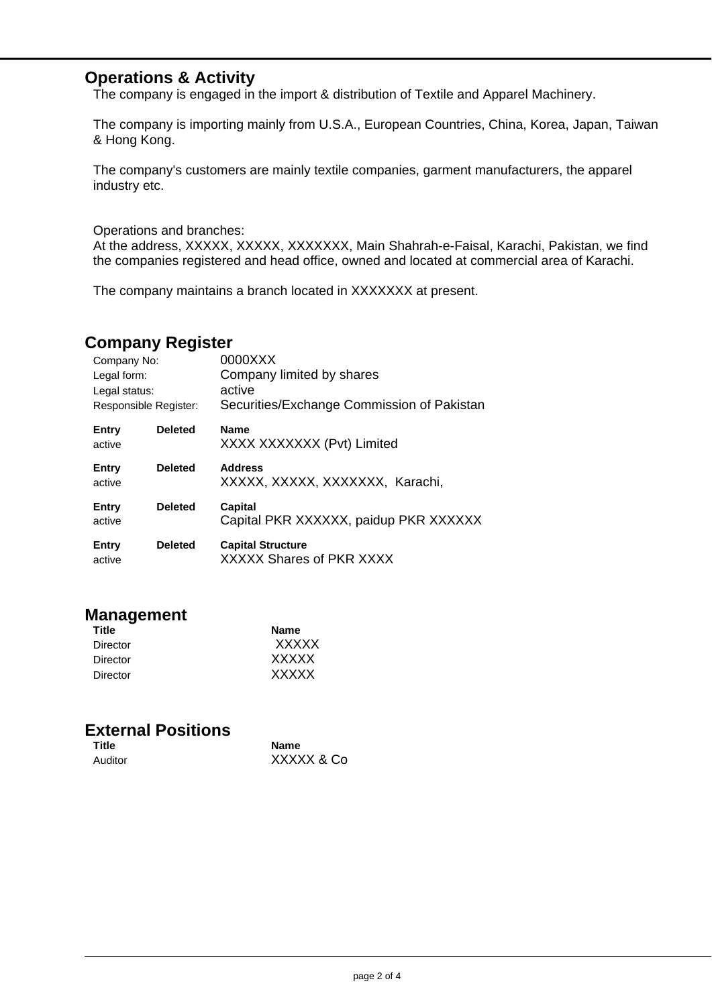### **Operations & Activity**

The company is engaged in the import & distribution of Textile and Apparel Machinery.

The company is importing mainly from U.S.A., European Countries, China, Korea, Japan, Taiwan & Hong Kong.

The company's customers are mainly textile companies, garment manufacturers, the apparel industry etc.

Operations and branches:

At the address, XXXXX, XXXXX, XXXXXXX, Main Shahrah-e-Faisal, Karachi, Pakistan, we find the companies registered and head office, owned and located at commercial area of Karachi.

The company maintains a branch located in XXXXXXX at present.

#### **Company Register**

| Company No:           |                | 0000XXX                                                     |
|-----------------------|----------------|-------------------------------------------------------------|
| Legal form:           |                | Company limited by shares                                   |
| Legal status:         |                | active                                                      |
| Responsible Register: |                | Securities/Exchange Commission of Pakistan                  |
| Entry<br>active       | <b>Deleted</b> | <b>Name</b><br>XXXX XXXXXXX (Pvt) Limited                   |
| Entry<br>active       | <b>Deleted</b> | <b>Address</b><br>XXXXX, XXXXX, XXXXXXX, Karachi,           |
| Entry<br>active       | <b>Deleted</b> | Capital<br>Capital PKR XXXXXX, paidup PKR XXXXXX            |
| Entry<br>active       | <b>Deleted</b> | <b>Capital Structure</b><br><b>XXXXX Shares of PKR XXXX</b> |

#### **Management**

| Name         |
|--------------|
| <b>XXXXX</b> |
| XXXXX        |
| XXXXX        |
|              |

#### **External Positions**

| Title   | Name       |
|---------|------------|
| Auditor | XXXXX & Co |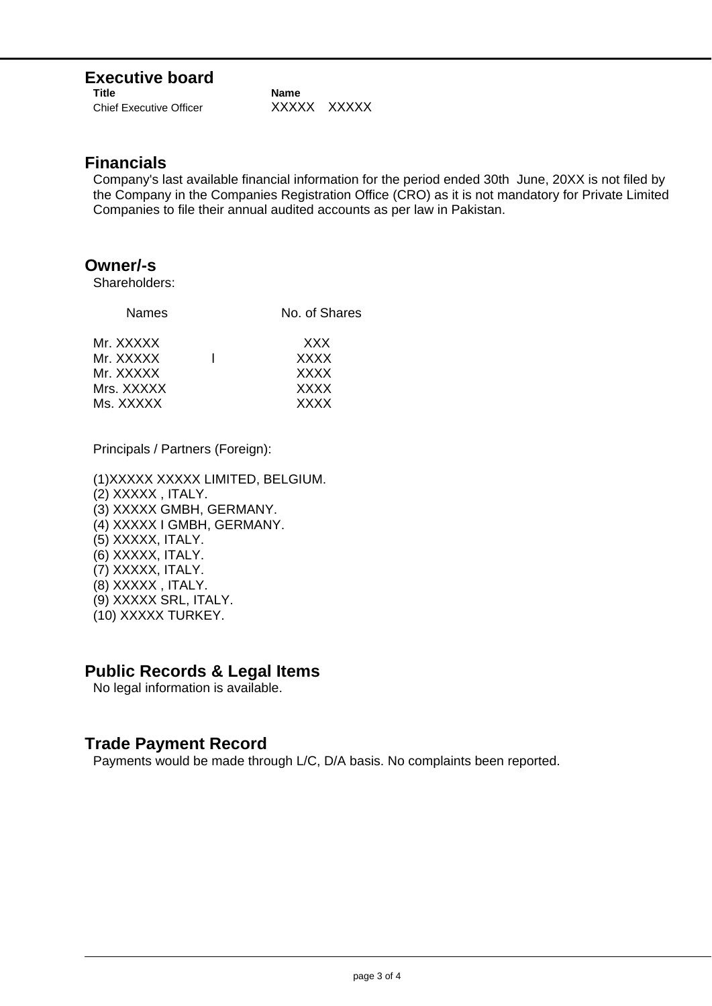#### **Executive board**

| Title                          | Name        |  |
|--------------------------------|-------------|--|
| <b>Chief Executive Officer</b> | XXXXX XXXXX |  |

#### **Financials**

Company's last available financial information for the period ended 30th June, 20XX is not filed by the Company in the Companies Registration Office (CRO) as it is not mandatory for Private Limited Companies to file their annual audited accounts as per law in Pakistan.

#### **Owner/-s**

Shareholders:

| Names      | No. of Shares |
|------------|---------------|
| Mr. XXXXX  | <b>XXX</b>    |
| Mr. XXXXX  | <b>XXXX</b>   |
| Mr. XXXXX  | <b>XXXX</b>   |
| Mrs. XXXXX | <b>XXXX</b>   |
| Ms. XXXXX  | <b>XXXX</b>   |

Principals / Partners (Foreign):

(1)XXXXX XXXXX LIMITED, BELGIUM. (2) XXXXX , ITALY. (3) XXXXX GMBH, GERMANY. (4) XXXXX I GMBH, GERMANY. (5) XXXXX, ITALY. (6) XXXXX, ITALY. (7) XXXXX, ITALY. (8) XXXXX , ITALY. (9) XXXXX SRL, ITALY. (10) XXXXX TURKEY.

#### **Public Records & Legal Items**

No legal information is available.

#### **Trade Payment Record**

Payments would be made through L/C, D/A basis. No complaints been reported.